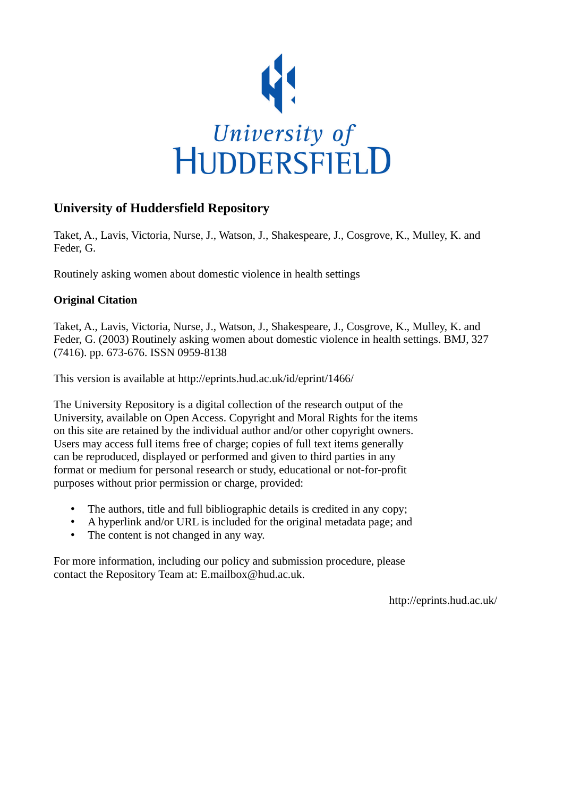

# **University of Huddersfield Repository**

Taket, A., Lavis, Victoria, Nurse, J., Watson, J., Shakespeare, J., Cosgrove, K., Mulley, K. and Feder, G.

Routinely asking women about domestic violence in health settings

## **Original Citation**

Taket, A., Lavis, Victoria, Nurse, J., Watson, J., Shakespeare, J., Cosgrove, K., Mulley, K. and Feder, G. (2003) Routinely asking women about domestic violence in health settings. BMJ, 327 (7416). pp. 673-676. ISSN 0959-8138

This version is available at http://eprints.hud.ac.uk/id/eprint/1466/

The University Repository is a digital collection of the research output of the University, available on Open Access. Copyright and Moral Rights for the items on this site are retained by the individual author and/or other copyright owners. Users may access full items free of charge; copies of full text items generally can be reproduced, displayed or performed and given to third parties in any format or medium for personal research or study, educational or not-for-profit purposes without prior permission or charge, provided:

- The authors, title and full bibliographic details is credited in any copy;
- A hyperlink and/or URL is included for the original metadata page; and
- The content is not changed in any way.

For more information, including our policy and submission procedure, please contact the Repository Team at: E.mailbox@hud.ac.uk.

http://eprints.hud.ac.uk/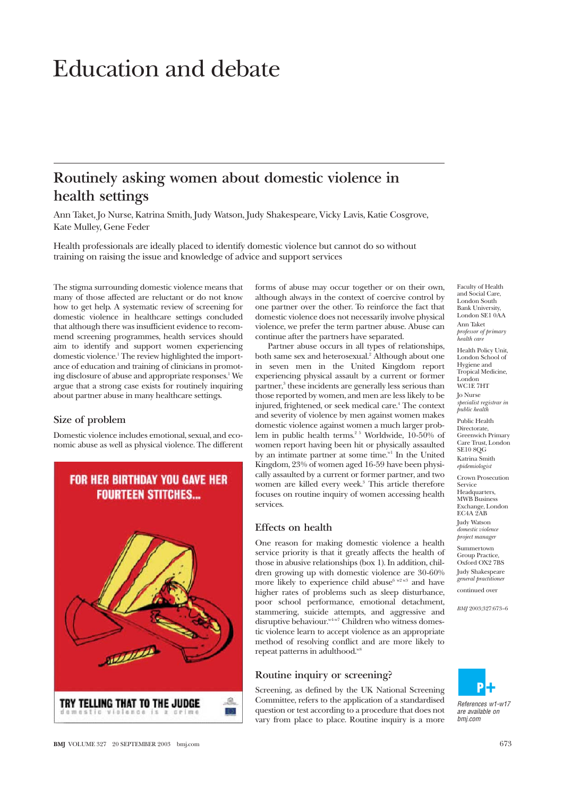# Education and debate

# **Routinely asking women about domestic violence in health settings**

Ann Taket, Jo Nurse, Katrina Smith, Judy Watson, Judy Shakespeare, Vicky Lavis, Katie Cosgrove, Kate Mulley, Gene Feder

Health professionals are ideally placed to identify domestic violence but cannot do so without training on raising the issue and knowledge of advice and support services

The stigma surrounding domestic violence means that many of those affected are reluctant or do not know how to get help. A systematic review of screening for domestic violence in healthcare settings concluded that although there was insufficient evidence to recommend screening programmes, health services should aim to identify and support women experiencing domestic violence.<sup>1</sup> The review highlighted the importance of education and training of clinicians in promoting disclosure of abuse and appropriate responses.<sup>1</sup> We argue that a strong case exists for routinely inquiring about partner abuse in many healthcare settings.

### **Size of problem**

Domestic violence includes emotional, sexual, and economic abuse as well as physical violence. The different



one partner over the other. To reinforce the fact that domestic violence does not necessarily involve physical violence, we prefer the term partner abuse. Abuse can continue after the partners have separated. Partner abuse occurs in all types of relationships,

forms of abuse may occur together or on their own, although always in the context of coercive control by

both same sex and heterosexual.<sup>2</sup> Although about one in seven men in the United Kingdom report experiencing physical assault by a current or former partner,<sup>3</sup> these incidents are generally less serious than those reported by women, and men are less likely to be injured, frightened, or seek medical care.<sup>4</sup> The context and severity of violence by men against women makes domestic violence against women a much larger problem in public health terms.<sup>2 5</sup> Worldwide,  $10-50\%$  of women report having been hit or physically assaulted by an intimate partner at some time.<sup>w1</sup> In the United Kingdom, 23% of women aged 16-59 have been physically assaulted by a current or former partner, and two women are killed every week.<sup>3</sup> This article therefore focuses on routine inquiry of women accessing health services.

#### **Effects on health**

One reason for making domestic violence a health service priority is that it greatly affects the health of those in abusive relationships (box 1). In addition, children growing up with domestic violence are 30-60% more likely to experience child abuse<sup>6 w2 w3</sup> and have higher rates of problems such as sleep disturbance, poor school performance, emotional detachment, stammering, suicide attempts, and aggressive and disruptive behaviour.<sup>w4-w7</sup> Children who witness domestic violence learn to accept violence as an appropriate method of resolving conflict and are more likely to repeat patterns in adulthood.<sup>w8</sup>

## **Routine inquiry or screening?**

Screening, as defined by the UK National Screening Committee, refers to the application of a standardised question or test according to a procedure that does not vary from place to place. Routine inquiry is a more

Faculty of Health and Social Care, London South Bank University, London SE1 0AA Ann Taket *professor of primary health care*

Health Policy Unit, London School of Hygiene and Tropical Medicine, London WC1E 7HT Jo Nurse *specialist registrar in public health*

Public Health **Directorate** Greenwich Primary Care Trust, London **SE10 8OG** Katrina Smith *epidemiologist*

Crown Prosecution Service Headquarters. MWB Business Exchange, London EC4A 2AB Judy Watson

*domestic violence project manager*

Summertown Group Practice, Oxford OX2 7BS Judy Shakespeare *general practitioner* continued over

*BMJ* 2003;327:673–6



References w1-w17 are available on bmj.com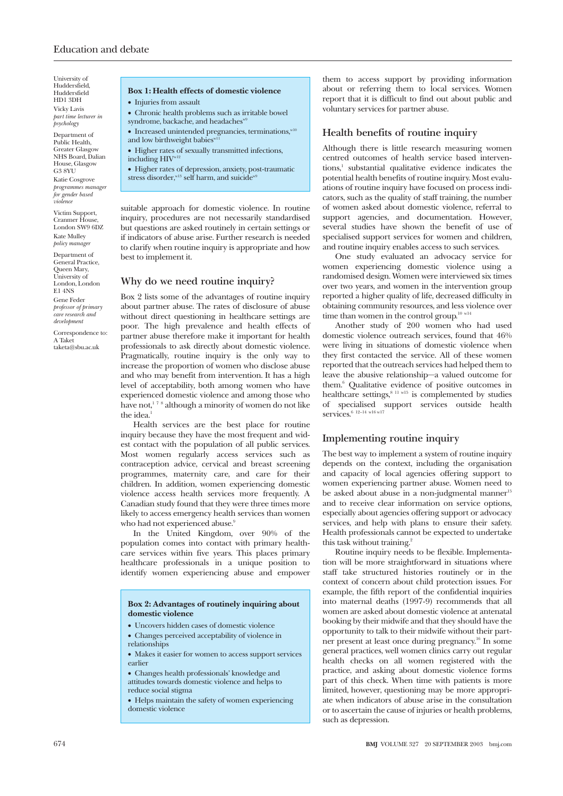University of Huddersfield, Huddersfield HD1 3DH Vicky Lavis *part time lecturer in psychology*

Department of Public Health, Greater Glasgow NHS Board, Dalian House, Glasgow G3 8YU Katie Cosgrove *programmes manager for gender based violence*

Victim Support, Cranmer House, London SW9 6DZ Kate Mulley *policy manager*

Department of General Practice, Queen Mary, University of London, London E1 4NS Gene Feder *professor of primary care research and development*

Correspondence to: A Taket taketa@sbu.ac.uk

#### **Box 1: Health effects of domestic violence**

- Injuries from assault
- Chronic health problems such as irritable bowel syndrome, backache, and headaches<sup>w9</sup>
- $\bullet$  Increased unintended pregnancies, terminations, $N^{10}$ and low birthweight babies<sup>w1</sup>
- Higher rates of sexually transmitted infections,
- including  $HIV^{w12}$
- Higher rates of depression, anxiety, post-traumatic
- stress disorder,<sup>w13</sup> self harm, and suicide<sup>w</sup>

suitable approach for domestic violence. In routine inquiry, procedures are not necessarily standardised but questions are asked routinely in certain settings or if indicators of abuse arise. Further research is needed to clarify when routine inquiry is appropriate and how best to implement it.

#### **Why do we need routine inquiry?**

Box 2 lists some of the advantages of routine inquiry about partner abuse. The rates of disclosure of abuse without direct questioning in healthcare settings are poor. The high prevalence and health effects of partner abuse therefore make it important for health professionals to ask directly about domestic violence. Pragmatically, routine inquiry is the only way to increase the proportion of women who disclose abuse and who may benefit from intervention. It has a high level of acceptability, both among women who have experienced domestic violence and among those who have not,<sup>178</sup> although a minority of women do not like the idea.<sup>1</sup>

Health services are the best place for routine inquiry because they have the most frequent and widest contact with the population of all public services. Most women regularly access services such as contraception advice, cervical and breast screening programmes, maternity care, and care for their children. In addition, women experiencing domestic violence access health services more frequently. A Canadian study found that they were three times more likely to access emergency health services than women who had not experienced abuse.<sup>9</sup>

In the United Kingdom, over 90% of the population comes into contact with primary healthcare services within five years. This places primary healthcare professionals in a unique position to identify women experiencing abuse and empower

#### **Box 2: Advantages of routinely inquiring about domestic violence**

- Uncovers hidden cases of domestic violence
- Changes perceived acceptability of violence in relationships
- Makes it easier for women to access support services earlier
- Changes health professionals' knowledge and attitudes towards domestic violence and helps to reduce social stigma
- Helps maintain the safety of women experiencing domestic violence

them to access support by providing information about or referring them to local services. Women report that it is difficult to find out about public and voluntary services for partner abuse.

#### **Health benefits of routine inquiry**

Although there is little research measuring women centred outcomes of health service based interventions,<sup>1</sup> substantial qualitative evidence indicates the potential health benefits of routine inquiry. Most evaluations of routine inquiry have focused on process indicators, such as the quality of staff training, the number of women asked about domestic violence, referral to support agencies, and documentation. However, several studies have shown the benefit of use of specialised support services for women and children, and routine inquiry enables access to such services.

One study evaluated an advocacy service for women experiencing domestic violence using a randomised design. Women were interviewed six times over two years, and women in the intervention group reported a higher quality of life, decreased difficulty in obtaining community resources, and less violence over time than women in the control group.<sup>10 w14</sup>

Another study of 200 women who had used domestic violence outreach services, found that 46% were living in situations of domestic violence when they first contacted the service. All of these women reported that the outreach services had helped them to leave the abusive relationship—a valued outcome for them.6 Qualitative evidence of positive outcomes in healthcare settings, $8^{11 \text{ w15}}$  is complemented by studies of specialised support services outside health services. $6^{6}$  12–14 w16 w17

## **Implementing routine inquiry**

The best way to implement a system of routine inquiry depends on the context, including the organisation and capacity of local agencies offering support to women experiencing partner abuse. Women need to be asked about abuse in a non-judgmental manner<sup>15</sup> and to receive clear information on service options, especially about agencies offering support or advocacy services, and help with plans to ensure their safety. Health professionals cannot be expected to undertake this task without training.<sup>2</sup>

Routine inquiry needs to be flexible. Implementation will be more straightforward in situations where staff take structured histories routinely or in the context of concern about child protection issues. For example, the fifth report of the confidential inquiries into maternal deaths (1997-9) recommends that all women are asked about domestic violence at antenatal booking by their midwife and that they should have the opportunity to talk to their midwife without their partner present at least once during pregnancy.16 In some general practices, well women clinics carry out regular health checks on all women registered with the practice, and asking about domestic violence forms part of this check. When time with patients is more limited, however, questioning may be more appropriate when indicators of abuse arise in the consultation or to ascertain the cause of injuries or health problems, such as depression.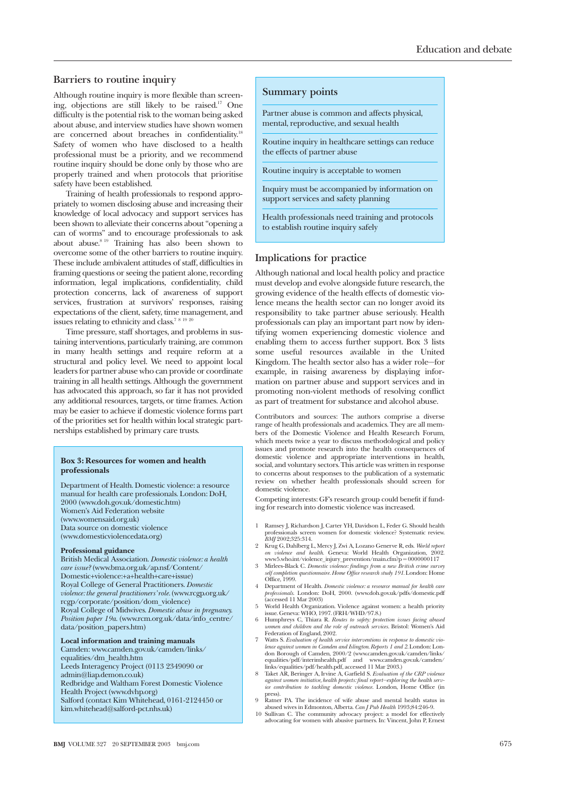## **Barriers to routine inquiry**

Although routine inquiry is more flexible than screening, objections are still likely to be raised.17 One difficulty is the potential risk to the woman being asked about abuse, and interview studies have shown women are concerned about breaches in confidentiality.<sup>18</sup> Safety of women who have disclosed to a health professional must be a priority, and we recommend routine inquiry should be done only by those who are properly trained and when protocols that prioritise safety have been established.

Training of health professionals to respond appropriately to women disclosing abuse and increasing their knowledge of local advocacy and support services has been shown to alleviate their concerns about "opening a can of worms" and to encourage professionals to ask about abuse. $8^{19}$  Training has also been shown to overcome some of the other barriers to routine inquiry. These include ambivalent attitudes of staff, difficulties in framing questions or seeing the patient alone, recording information, legal implications, confidentiality, child protection concerns, lack of awareness of support services, frustration at survivors' responses, raising expectations of the client, safety, time management, and issues relating to ethnicity and class.<sup>78 192</sup>

Time pressure, staff shortages, and problems in sustaining interventions, particularly training, are common in many health settings and require reform at a structural and policy level. We need to appoint local leaders for partner abuse who can provide or coordinate training in all health settings. Although the government has advocated this approach, so far it has not provided any additional resources, targets, or time frames. Action may be easier to achieve if domestic violence forms part of the priorities set for health within local strategic partnerships established by primary care trusts.

#### **Box 3: Resources for women and health professionals**

Department of Health. Domestic violence: a resource manual for health care professionals. London: DoH, 2000 (www.doh.gov.uk/domestic.htm) Women's Aid Federation website (www.womensaid.org.uk) Data source on domestic violence (www.domesticviolencedata.org)

#### **Professional guidance**

British Medical Association. *Domestic violence: a health care issue?* (www.bma.org.uk/ap.nsf/Content/ Domestic+violence:+a+health+care+issue) Royal College of General Practitioners. *Domestic violence: the general practitioners' role.* (www.rcgp.org.uk/ rcgp/corporate/position/dom\_violence) Royal College of Midwives. *Domestic abuse in pregnancy. Position paper 19a.* (www.rcm.org.uk/data/info\_centre/ data/position\_papers.htm)

#### **Local information and training manuals**

Camden: www.camden.gov.uk/camden/links/ equalities/dm\_health.htm Leeds Interagency Project (0113 2349090 or admin@liap.demon.co.uk) Redbridge and Waltham Forest Domestic Violence Health Project (www.dvhp.org) Salford (contact Kim Whitehead, 0161-2124450 or kim.whitehead@salford-pct.nhs.uk)

### **Summary points**

Partner abuse is common and affects physical, mental, reproductive, and sexual health

Routine inquiry in healthcare settings can reduce the effects of partner abuse

Routine inquiry is acceptable to women

Inquiry must be accompanied by information on support services and safety planning

Health professionals need training and protocols to establish routine inquiry safely

#### **Implications for practice**

Although national and local health policy and practice must develop and evolve alongside future research, the growing evidence of the health effects of domestic violence means the health sector can no longer avoid its responsibility to take partner abuse seriously. Health professionals can play an important part now by identifying women experiencing domestic violence and enabling them to access further support. Box 3 lists some useful resources available in the United Kingdom. The health sector also has a wider role—for example, in raising awareness by displaying information on partner abuse and support services and in promoting non-violent methods of resolving conflict as part of treatment for substance and alcohol abuse.

Contributors and sources: The authors comprise a diverse range of health professionals and academics. They are all members of the Domestic Violence and Health Research Forum, which meets twice a year to discuss methodological and policy issues and promote research into the health consequences of domestic violence and appropriate interventions in health, social, and voluntary sectors. This article was written in response to concerns about responses to the publication of a systematic review on whether health professionals should screen for domestic violence.

Competing interests: GF's research group could benefit if funding for research into domestic violence was increased.

- 1 Ramsey J, Richardson J, Carter YH, Davidson L, Feder G. Should health professionals screen women for domestic violence? Systematic review. *BMJ* 2002;325:314.
- 2 Krug G, Dahlberg L, Mercy J, Zwi A, Lozano Generve R, eds. *World report on violence and health.* Geneva: World Health Organization, 2002.
- www5.who.int/violence\_injury\_prevention/main.cfm?p=0000000117<br>3 Mirlees-Black G. Domestic violence: findings from a new British crime survey<br>self completion questionnaire. Home Office research study 191. London: Home
- Office, 1999. 4 Department of Health. *Domestic violence: a resource manual for health care professionals.* London: DoH, 2000. (www.doh.gov.uk/pdfs/domestic.pdf (accessed 11 Mar 2003)
- 5 World Health Organization. Violence against women: a health priority issue. Geneva: WHO, 1997. (FRH/WHD/97.8.)
- 6 Humphreys C, Thiara R. *Routes to safety: protection issues facing abused women and children and the role of outreach services*. Bristol: Women's Aid
- Federation of England, 2002. 7 Watts S. *Evaluation of health service interventions in response to domestic vio*lence against women in Camden and Islington. Reports 1 and 2. London: Lon-<br>don Borough of Camden, 2000/2 (www.camden.gov.uk/camden/links/<br>equalities/pdf/interimhealth.pdf and www.camden.gov.uk/camden/<br>links/equalities/pdf/
- *against women initiative, health projects: final report—exploring the health serv-ice contribution to tackling domestic violence*. London, Home Office (in
- press). 9 Ratner PA. The incidence of wife abuse and mental health status in abused wives in Edmonton, Alberta. *Can J Pub Health* 1993;84:246-9.
- 10 Sullivan C. The community advocacy project: a model for effectively advocating for women with abusive partners. In: Vincent, John P, Ernest